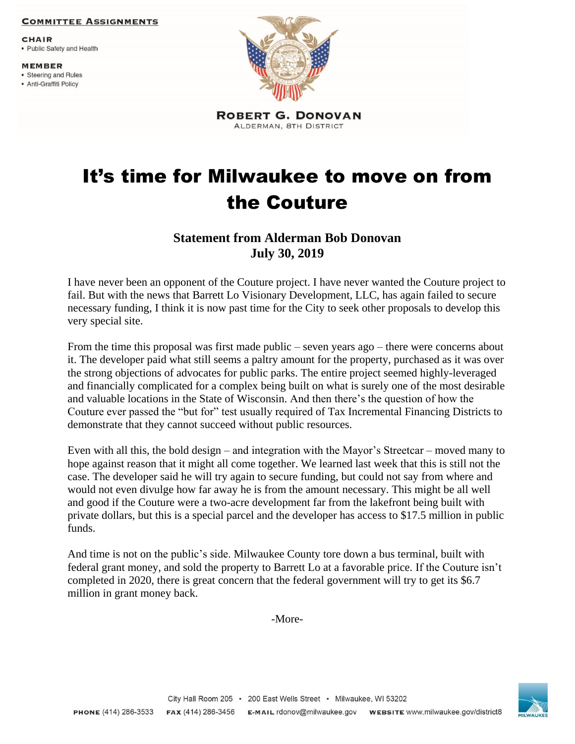## **COMMITTEE ASSIGNMENTS**

**CHAIR** 

• Public Safety and Health

**MEMBER** 

- Steering and Rules
- Anti-Graffiti Policy



**ROBERT G. DONOVAN** ALDERMAN, 8TH DISTRICT

## It's time for Milwaukee to move on from the Couture

## **Statement from Alderman Bob Donovan July 30, 2019**

I have never been an opponent of the Couture project. I have never wanted the Couture project to fail. But with the news that Barrett Lo Visionary Development, LLC, has again failed to secure necessary funding, I think it is now past time for the City to seek other proposals to develop this very special site.

From the time this proposal was first made public – seven years ago – there were concerns about it. The developer paid what still seems a paltry amount for the property, purchased as it was over the strong objections of advocates for public parks. The entire project seemed highly-leveraged and financially complicated for a complex being built on what is surely one of the most desirable and valuable locations in the State of Wisconsin. And then there's the question of how the Couture ever passed the "but for" test usually required of Tax Incremental Financing Districts to demonstrate that they cannot succeed without public resources.

Even with all this, the bold design – and integration with the Mayor's Streetcar – moved many to hope against reason that it might all come together. We learned last week that this is still not the case. The developer said he will try again to secure funding, but could not say from where and would not even divulge how far away he is from the amount necessary. This might be all well and good if the Couture were a two-acre development far from the lakefront being built with private dollars, but this is a special parcel and the developer has access to \$17.5 million in public funds.

And time is not on the public's side. Milwaukee County tore down a bus terminal, built with federal grant money, and sold the property to Barrett Lo at a favorable price. If the Couture isn't completed in 2020, there is great concern that the federal government will try to get its \$6.7 million in grant money back.

-More-